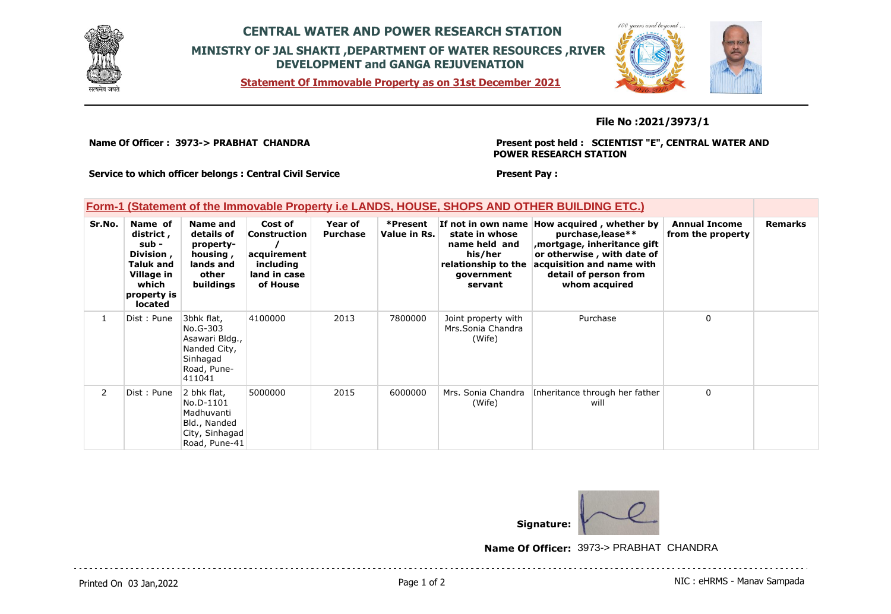

## **CENTRAL WATER AND POWER RESEARCH STATION MINISTRY OF JAL SHAKTI ,DEPARTMENT OF WATER RESOURCES ,RIVER DEVELOPMENT and GANGA REJUVENATION**

**Statement Of Immovable Property as on 31st December 2021**



#### **File No :2021/3973/1**

**Name Of Officer : 3973-> PRABHAT CHANDRA** 

**Present post held : SCIENTIST "E", CENTRAL WATER AND POWER RESEARCH STATION**

**Service to which officer belongs : Central Civil Service**

## **Present Pay :**

#### **Form-1 (Statement of the Immovable Property i.e LANDS, HOUSE, SHOPS AND OTHER BUILDING ETC.)**

| Sr.No.         | Name of<br>district,<br>sub -<br>Division,<br><b>Taluk and</b><br>Village in<br>which<br>property is<br><b>located</b> | Name and<br>details of<br>property-<br>housing,<br>lands and<br>other<br>buildings            | Cost of<br>Construction<br>acquirement<br>including<br>land in case<br>of House | Year of<br><b>Purchase</b> | *Present<br>Value in Rs. | state in whose<br>name held and<br>his/her<br>relationship to the<br>government<br>servant | If not in own name How acquired, whether by<br>purchase, lease**<br>mortgage, inheritance gift,<br>or otherwise, with date of<br>acquisition and name with<br>detail of person from<br>whom acquired | <b>Annual Income</b><br>from the property | <b>Remarks</b> |
|----------------|------------------------------------------------------------------------------------------------------------------------|-----------------------------------------------------------------------------------------------|---------------------------------------------------------------------------------|----------------------------|--------------------------|--------------------------------------------------------------------------------------------|------------------------------------------------------------------------------------------------------------------------------------------------------------------------------------------------------|-------------------------------------------|----------------|
|                | Dist: Pune                                                                                                             | 3bhk flat,<br>No.G-303<br>Asawari Bldg.,<br>Nanded City,<br>Sinhagad<br>Road, Pune-<br>411041 | 4100000                                                                         | 2013                       | 7800000                  | Joint property with<br>Mrs. Sonia Chandra<br>(Wife)                                        | Purchase                                                                                                                                                                                             | 0                                         |                |
| $\overline{2}$ | Dist: Pune                                                                                                             | 2 bhk flat,<br>No.D-1101<br>Madhuvanti<br>Bld., Nanded<br>City, Sinhagad<br>Road, Pune-41     | 5000000                                                                         | 2015                       | 6000000                  | Mrs. Sonia Chandra<br>(Wife)                                                               | Inheritance through her father<br>will                                                                                                                                                               | 0                                         |                |



**Name Of Officer:** 3973-> PRABHAT CHANDRA

Printed On 03 Jan, 2022 2001 12:00 Page 1 of 2 Page 1 of 2 NIC : eHRMS - Manav Sampada